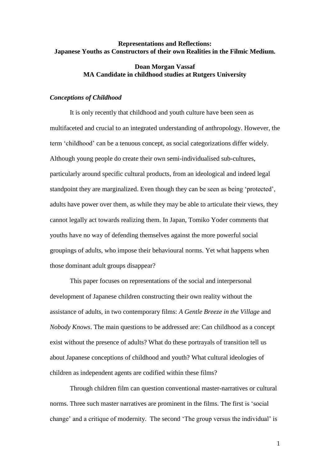# **Representations and Reflections: Japanese Youths as Constructors of their own Realities in the Filmic Medium.**

# **Doan Morgan Vassaf MA Candidate in childhood studies at Rutgers University**

### *Conceptions of Childhood*

It is only recently that childhood and youth culture have been seen as multifaceted and crucial to an integrated understanding of anthropology. However, the term "childhood" can be a tenuous concept, as social categorizations differ widely. Although young people do create their own semi-individualised sub-cultures, particularly around specific cultural products, from an ideological and indeed legal standpoint they are marginalized. Even though they can be seen as being "protected", adults have power over them, as while they may be able to articulate their views, they cannot legally act towards realizing them. In Japan, Tomiko Yoder comments that youths have no way of defending themselves against the more powerful social groupings of adults, who impose their behavioural norms. Yet what happens when those dominant adult groups disappear?

This paper focuses on representations of the social and interpersonal development of Japanese children constructing their own reality without the assistance of adults, in two contemporary films: *A Gentle Breeze in the Village* and *Nobody Knows*. The main questions to be addressed are: Can childhood as a concept exist without the presence of adults? What do these portrayals of transition tell us about Japanese conceptions of childhood and youth? What cultural ideologies of children as independent agents are codified within these films?

Through children film can question conventional master-narratives or cultural norms. Three such master narratives are prominent in the films. The first is "social change' and a critique of modernity. The second 'The group versus the individual' is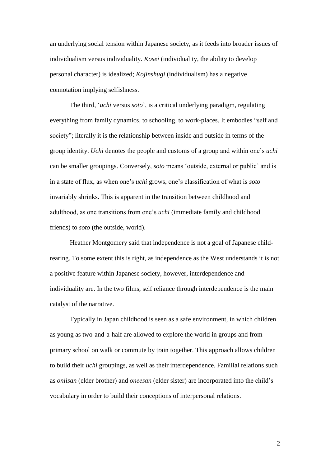an underlying social tension within Japanese society, as it feeds into broader issues of individualism versus individuality. *Kosei* (individuality, the ability to develop personal character) is idealized; *Kojinshugi* (individualism) has a negative connotation implying selfishness.

The third, "*uchi* versus *soto*", is a critical underlying paradigm, regulating everything from family dynamics, to schooling, to work-places. It embodies "self and society"; literally it is the relationship between inside and outside in terms of the group identity. *Uchi* denotes the people and customs of a group and within one"s *uchi* can be smaller groupings. Conversely, *soto* means "outside, external or public" and is in a state of flux, as when one"s *uchi* grows, one"s classification of what is *soto*  invariably shrinks. This is apparent in the transition between childhood and adulthood, as one transitions from one"s *uchi* (immediate family and childhood friends) to *soto* (the outside, world).

Heather Montgomery said that independence is not a goal of Japanese childrearing. To some extent this is right, as independence as the West understands it is not a positive feature within Japanese society, however, interdependence and individuality are. In the two films, self reliance through interdependence is the main catalyst of the narrative.

Typically in Japan childhood is seen as a safe environment, in which children as young as two-and-a-half are allowed to explore the world in groups and from primary school on walk or commute by train together. This approach allows children to build their *uchi* groupings, as well as their interdependence. Familial relations such as *oniisan* (elder brother) and *oneesan* (elder sister) are incorporated into the child"s vocabulary in order to build their conceptions of interpersonal relations.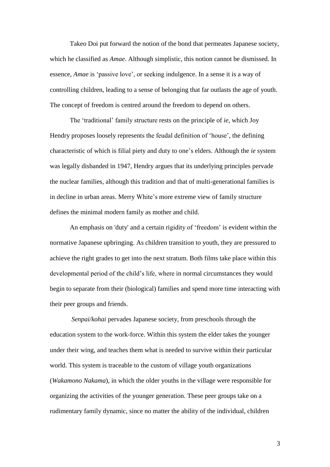Takeo Doi put forward the notion of the bond that permeates Japanese society, which he classified as *Amae*. Although simplistic, this notion cannot be dismissed. In essence, *Amae* is 'passive love', or seeking indulgence. In a sense it is a way of controlling children, leading to a sense of belonging that far outlasts the age of youth. The concept of freedom is centred around the freedom to depend on others.

The "traditional" family structure rests on the principle of *ie*, which Joy Hendry proposes loosely represents the feudal definition of 'house', the defining characteristic of which is filial piety and duty to one"s elders. Although the *ie* system was legally disbanded in 1947, Hendry argues that its underlying principles pervade the nuclear families, although this tradition and that of multi-generational families is in decline in urban areas. Merry White"s more extreme view of family structure defines the minimal modern family as mother and child.

An emphasis on 'duty' and a certain rigidity of "freedom" is evident within the normative Japanese upbringing. As children transition to youth, they are pressured to achieve the right grades to get into the next stratum. Both films take place within this developmental period of the child"s life, where in normal circumstances they would begin to separate from their (biological) families and spend more time interacting with their peer groups and friends.

*Senpai/kohai* pervades Japanese society, from preschools through the education system to the work-force. Within this system the elder takes the younger under their wing, and teaches them what is needed to survive within their particular world. This system is traceable to the custom of village youth organizations (*Wakamono Nakama*), in which the older youths in the village were responsible for organizing the activities of the younger generation. These peer groups take on a rudimentary family dynamic, since no matter the ability of the individual, children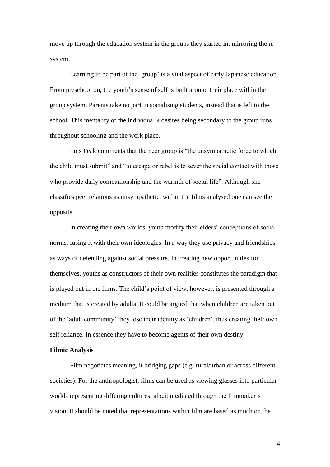move up through the education system in the groups they started in, mirroring the *ie* system.

Learning to be part of the 'group' is a vital aspect of early Japanese education. From preschool on, the youth's sense of self is built around their place within the group system. Parents take no part in socialising students, instead that is left to the school. This mentality of the individual's desires being secondary to the group runs throughout schooling and the work place.

Lois Peak comments that the peer group is "the unsympathetic force to which the child must submit" and "to escape or rebel is to sever the social contact with those who provide daily companionship and the warmth of social life". Although she classifies peer relations as unsympathetic, within the films analysed one can see the opposite.

In creating their own worlds, youth modify their elders" conceptions of social norms, fusing it with their own ideologies. In a way they use privacy and friendships as ways of defending against social pressure. In creating new opportunities for themselves, youths as constructors of their own realities constitutes the paradigm that is played out in the films. The child's point of view, however, is presented through a medium that is created by adults. It could be argued that when children are taken out of the "adult community" they lose their identity as "children", thus creating their own self reliance. In essence they have to become agents of their own destiny.

## **Filmic Analysis**

Film negotiates meaning, it bridging gaps (e.g. rural/urban or across different societies). For the anthropologist, films can be used as viewing glasses into particular worlds representing differing cultures, albeit mediated through the filmmaker"s vision. It should be noted that representations within film are based as much on the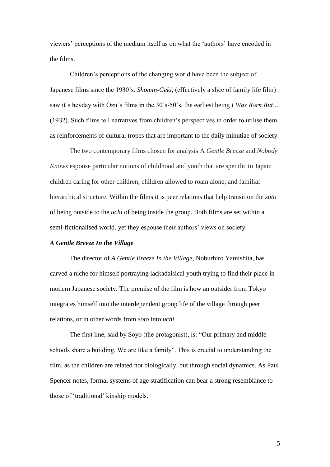viewers" perceptions of the medium itself as on what the "authors" have encoded in the films.

Children"s perceptions of the changing world have been the subject of Japanese films since the 1930"s. *Shomin-Geki*, (effectively a slice of family life film) saw it"s heyday with Ozu"s films in the 30"s-50"s, the earliest being *I Was Born But…* (1932). Such films tell narratives from children"s perspectives in order to utilise them as reinforcements of cultural tropes that are important to the daily minutiae of society.

The two contemporary films chosen for analysis A *Gentle Breeze* and *Nobody Knows* espouse particular notions of childhood and youth that are specific to Japan: children caring for other children; children allowed to roam alone; and familial hierarchical structure. Within the films it is peer relations that help transition the *soto* of being outside to the *uchi* of being inside the group. Both films are set within a semi-fictionalised world, yet they espouse their authors' views on society.

### *A Gentle Breeze In the Village*

The director of *A Gentle Breeze In the Village*, Noburhiro Yamishita, has carved a niche for himself portraying lackadaisical youth trying to find their place in modern Japanese society. The premise of the film is how an outsider from Tokyo integrates himself into the interdependent group life of the village through peer relations, or in other words from *soto* into *uchi*.

The first line, said by Soyo (the protagonist), is: "Our primary and middle schools share a building. We are like a family". This is crucial to understanding the film, as the children are related not biologically, but through social dynamics. As Paul Spencer notes, formal systems of age stratification can bear a strong resemblance to those of "traditional" kinship models.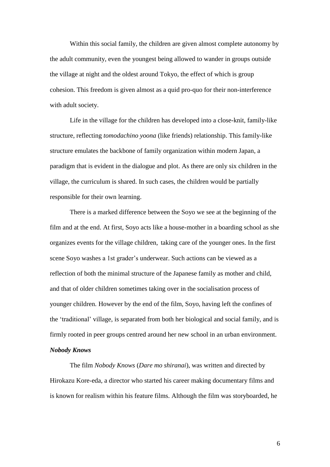Within this social family, the children are given almost complete autonomy by the adult community, even the youngest being allowed to wander in groups outside the village at night and the oldest around Tokyo, the effect of which is group cohesion. This freedom is given almost as a quid pro-quo for their non-interference with adult society.

Life in the village for the children has developed into a close-knit, family-like structure, reflecting *tomodachino yoona* (like friends) relationship. This family-like structure emulates the backbone of family organization within modern Japan, a paradigm that is evident in the dialogue and plot. As there are only six children in the village, the curriculum is shared. In such cases, the children would be partially responsible for their own learning.

There is a marked difference between the Soyo we see at the beginning of the film and at the end. At first, Soyo acts like a house-mother in a boarding school as she organizes events for the village children, taking care of the younger ones. In the first scene Soyo washes a 1st grader"s underwear. Such actions can be viewed as a reflection of both the minimal structure of the Japanese family as mother and child, and that of older children sometimes taking over in the socialisation process of younger children. However by the end of the film, Soyo, having left the confines of the "traditional" village, is separated from both her biological and social family, and is firmly rooted in peer groups centred around her new school in an urban environment. *Nobody Knows* 

The film *Nobody Knows* (*Dare mo shiranai*), was written and directed by Hirokazu Kore-eda, a director who started his career making documentary films and is known for realism within his feature films. Although the film was storyboarded, he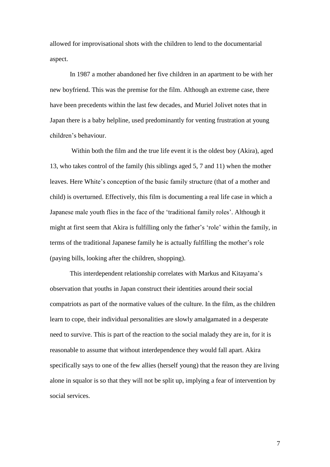allowed for improvisational shots with the children to lend to the documentarial aspect.

In 1987 a mother abandoned her five children in an apartment to be with her new boyfriend. This was the premise for the film. Although an extreme case, there have been precedents within the last few decades, and Muriel Jolivet notes that in Japan there is a baby helpline, used predominantly for venting frustration at young children"s behaviour.

Within both the film and the true life event it is the oldest boy (Akira), aged 13, who takes control of the family (his siblings aged 5, 7 and 11) when the mother leaves. Here White"s conception of the basic family structure (that of a mother and child) is overturned. Effectively, this film is documenting a real life case in which a Japanese male youth flies in the face of the "traditional family roles". Although it might at first seem that Akira is fulfilling only the father's 'role' within the family, in terms of the traditional Japanese family he is actually fulfilling the mother"s role (paying bills, looking after the children, shopping).

This interdependent relationship correlates with Markus and Kitayama"s observation that youths in Japan construct their identities around their social compatriots as part of the normative values of the culture. In the film, as the children learn to cope, their individual personalities are slowly amalgamated in a desperate need to survive. This is part of the reaction to the social malady they are in, for it is reasonable to assume that without interdependence they would fall apart. Akira specifically says to one of the few allies (herself young) that the reason they are living alone in squalor is so that they will not be split up, implying a fear of intervention by social services.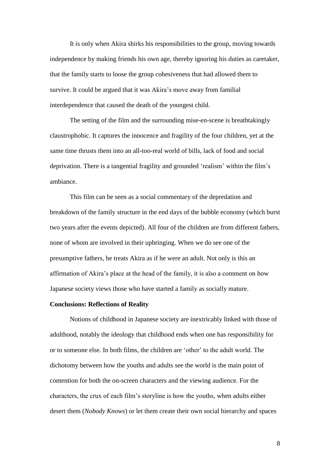It is only when Akira shirks his responsibilities to the group, moving towards independence by making friends his own age, thereby ignoring his duties as caretaker, that the family starts to loose the group cohesiveness that had allowed them to survive. It could be argued that it was Akira's move away from familial interdependence that caused the death of the youngest child.

The setting of the film and the surrounding mise-en-scene is breathtakingly claustrophobic. It captures the innocence and fragility of the four children, yet at the same time thrusts them into an all-too-real world of bills, lack of food and social deprivation. There is a tangential fragility and grounded 'realism' within the film's ambiance.

This film can be seen as a social commentary of the depredation and breakdown of the family structure in the end days of the bubble economy (which burst two years after the events depicted). All four of the children are from different fathers, none of whom are involved in their upbringing. When we do see one of the presumptive fathers, he treats Akira as if he were an adult. Not only is this an affirmation of Akira"s place at the head of the family, it is also a comment on how Japanese society views those who have started a family as socially mature.

### **Conclusions: Reflections of Reality**

Notions of childhood in Japanese society are inextricably linked with those of adulthood, notably the ideology that childhood ends when one has responsibility for or to someone else. In both films, the children are "other" to the adult world. The dichotomy between how the youths and adults see the world is the main point of contention for both the on-screen characters and the viewing audience. For the characters, the crux of each film"s storyline is how the youths, when adults either desert them (*Nobody Knows*) or let them create their own social hierarchy and spaces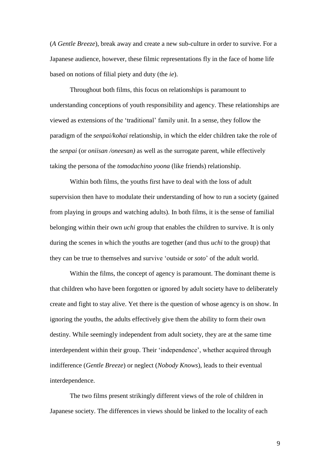(*A Gentle Breeze*), break away and create a new sub-culture in order to survive. For a Japanese audience, however, these filmic representations fly in the face of home life based on notions of filial piety and duty (the *ie*).

Throughout both films, this focus on relationships is paramount to understanding conceptions of youth responsibility and agency. These relationships are viewed as extensions of the "traditional" family unit. In a sense, they follow the paradigm of the *senpai/kohai* relationship, in which the elder children take the role of the *senpai* (or *oniisan /oneesan)* as well as the surrogate parent, while effectively taking the persona of the *tomodachino yoona* (like friends) relationship.

Within both films, the youths first have to deal with the loss of adult supervision then have to modulate their understanding of how to run a society (gained from playing in groups and watching adults). In both films, it is the sense of familial belonging within their own *uchi* group that enables the children to survive. It is only during the scenes in which the youths are together (and thus *uchi* to the group) that they can be true to themselves and survive "outside or *soto*" of the adult world.

Within the films, the concept of agency is paramount. The dominant theme is that children who have been forgotten or ignored by adult society have to deliberately create and fight to stay alive. Yet there is the question of whose agency is on show. In ignoring the youths, the adults effectively give them the ability to form their own destiny. While seemingly independent from adult society, they are at the same time interdependent within their group. Their "independence", whether acquired through indifference (*Gentle Breeze*) or neglect (*Nobody Knows*), leads to their eventual interdependence.

The two films present strikingly different views of the role of children in Japanese society. The differences in views should be linked to the locality of each